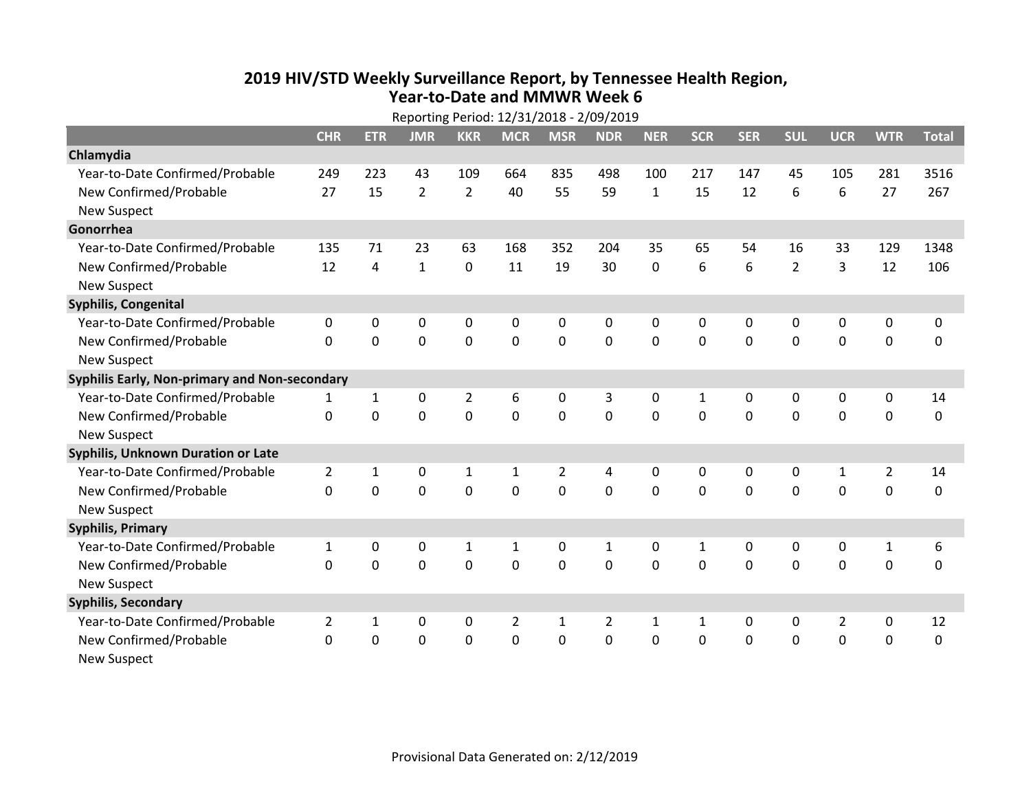## **2019 HIV /STD Weekly Surveillance Report, by Tennessee Health Region, Year‐to‐Date and MMWR Week 6**

|                                               | Reporting Period: 12/31/2018 - 2/09/2019 |                |                |                |                |                |                |              |              |              |                |                |              |              |
|-----------------------------------------------|------------------------------------------|----------------|----------------|----------------|----------------|----------------|----------------|--------------|--------------|--------------|----------------|----------------|--------------|--------------|
|                                               | <b>CHR</b>                               | <b>ETR</b>     | <b>JMR</b>     | <b>KKR</b>     | <b>MCR</b>     | <b>MSR</b>     | <b>NDR</b>     | <b>NER</b>   | <b>SCR</b>   | <b>SER</b>   | <b>SUL</b>     | <b>UCR</b>     | <b>WTR</b>   | <b>Total</b> |
| Chlamydia                                     |                                          |                |                |                |                |                |                |              |              |              |                |                |              |              |
| Year-to-Date Confirmed/Probable               | 249                                      | 223            | 43             | 109            | 664            | 835            | 498            | 100          | 217          | 147          | 45             | 105            | 281          | 3516         |
| New Confirmed/Probable                        | 27                                       | 15             | $\overline{2}$ | $\overline{2}$ | 40             | 55             | 59             | $\mathbf{1}$ | 15           | 12           | 6              | 6              | 27           | 267          |
| <b>New Suspect</b>                            |                                          |                |                |                |                |                |                |              |              |              |                |                |              |              |
| Gonorrhea                                     |                                          |                |                |                |                |                |                |              |              |              |                |                |              |              |
| Year-to-Date Confirmed/Probable               | 135                                      | 71             | 23             | 63             | 168            | 352            | 204            | 35           | 65           | 54           | 16             | 33             | 129          | 1348         |
| New Confirmed/Probable                        | 12                                       | $\overline{4}$ | $\mathbf{1}$   | 0              | 11             | 19             | 30             | 0            | 6            | 6            | $\overline{2}$ | 3              | 12           | 106          |
| <b>New Suspect</b>                            |                                          |                |                |                |                |                |                |              |              |              |                |                |              |              |
| Syphilis, Congenital                          |                                          |                |                |                |                |                |                |              |              |              |                |                |              |              |
| Year-to-Date Confirmed/Probable               | 0                                        | 0              | 0              | 0              | 0              | 0              | 0              | 0            | 0            | 0            | 0              | 0              | 0            | 0            |
| New Confirmed/Probable                        | $\mathbf{0}$                             | 0              | 0              | $\mathbf 0$    | $\mathbf 0$    | $\mathbf 0$    | 0              | 0            | $\Omega$     | $\Omega$     | 0              | 0              | $\mathbf 0$  | $\mathbf 0$  |
| <b>New Suspect</b>                            |                                          |                |                |                |                |                |                |              |              |              |                |                |              |              |
| Syphilis Early, Non-primary and Non-secondary |                                          |                |                |                |                |                |                |              |              |              |                |                |              |              |
| Year-to-Date Confirmed/Probable               | 1                                        | 1              | $\mathbf 0$    | $\overline{2}$ | 6              | 0              | 3              | 0            | $\mathbf{1}$ | 0            | 0              | 0              | 0            | 14           |
| New Confirmed/Probable                        | $\mathbf{0}$                             | 0              | 0              | 0              | $\mathbf 0$    | $\mathbf 0$    | $\overline{0}$ | 0            | $\mathbf 0$  | 0            | $\mathbf 0$    | 0              | $\mathbf 0$  | $\mathbf 0$  |
| <b>New Suspect</b>                            |                                          |                |                |                |                |                |                |              |              |              |                |                |              |              |
| <b>Syphilis, Unknown Duration or Late</b>     |                                          |                |                |                |                |                |                |              |              |              |                |                |              |              |
| Year-to-Date Confirmed/Probable               | $\overline{2}$                           | $\mathbf{1}$   | 0              | 1              | $\mathbf{1}$   | $\overline{2}$ | 4              | 0            | $\mathbf{0}$ | $\mathbf{0}$ | $\mathbf{0}$   | $\mathbf{1}$   | 2            | 14           |
| New Confirmed/Probable                        | $\Omega$                                 | 0              | 0              | 0              | 0              | $\Omega$       | 0              | $\Omega$     | $\Omega$     | $\Omega$     | $\Omega$       | 0              | $\mathbf 0$  | $\mathbf 0$  |
| <b>New Suspect</b>                            |                                          |                |                |                |                |                |                |              |              |              |                |                |              |              |
| <b>Syphilis, Primary</b>                      |                                          |                |                |                |                |                |                |              |              |              |                |                |              |              |
| Year-to-Date Confirmed/Probable               | $\mathbf{1}$                             | 0              | 0              | 1              | $\mathbf{1}$   | 0              | 1              | 0            | $\mathbf{1}$ | 0            | 0              | 0              | $\mathbf{1}$ | 6            |
| New Confirmed/Probable                        | $\mathbf{0}$                             | 0              | 0              | $\mathbf 0$    | $\mathbf 0$    | $\mathbf 0$    | 0              | $\Omega$     | $\Omega$     | $\Omega$     | $\Omega$       | 0              | $\mathbf 0$  | 0            |
| <b>New Suspect</b>                            |                                          |                |                |                |                |                |                |              |              |              |                |                |              |              |
| <b>Syphilis, Secondary</b>                    |                                          |                |                |                |                |                |                |              |              |              |                |                |              |              |
| Year-to-Date Confirmed/Probable               | $\overline{2}$                           | $\mathbf{1}$   | 0              | 0              | $\overline{2}$ | $\mathbf{1}$   | $\overline{2}$ | $\mathbf{1}$ | $\mathbf{1}$ | 0            | 0              | $\overline{2}$ | $\mathbf 0$  | 12           |
| New Confirmed/Probable                        | $\mathbf{0}$                             | 0              | 0              | 0              | 0              | 0              | 0              | 0            | 0            | $\mathbf{0}$ | 0              | 0              | $\mathbf 0$  | 0            |
| <b>New Suspect</b>                            |                                          |                |                |                |                |                |                |              |              |              |                |                |              |              |